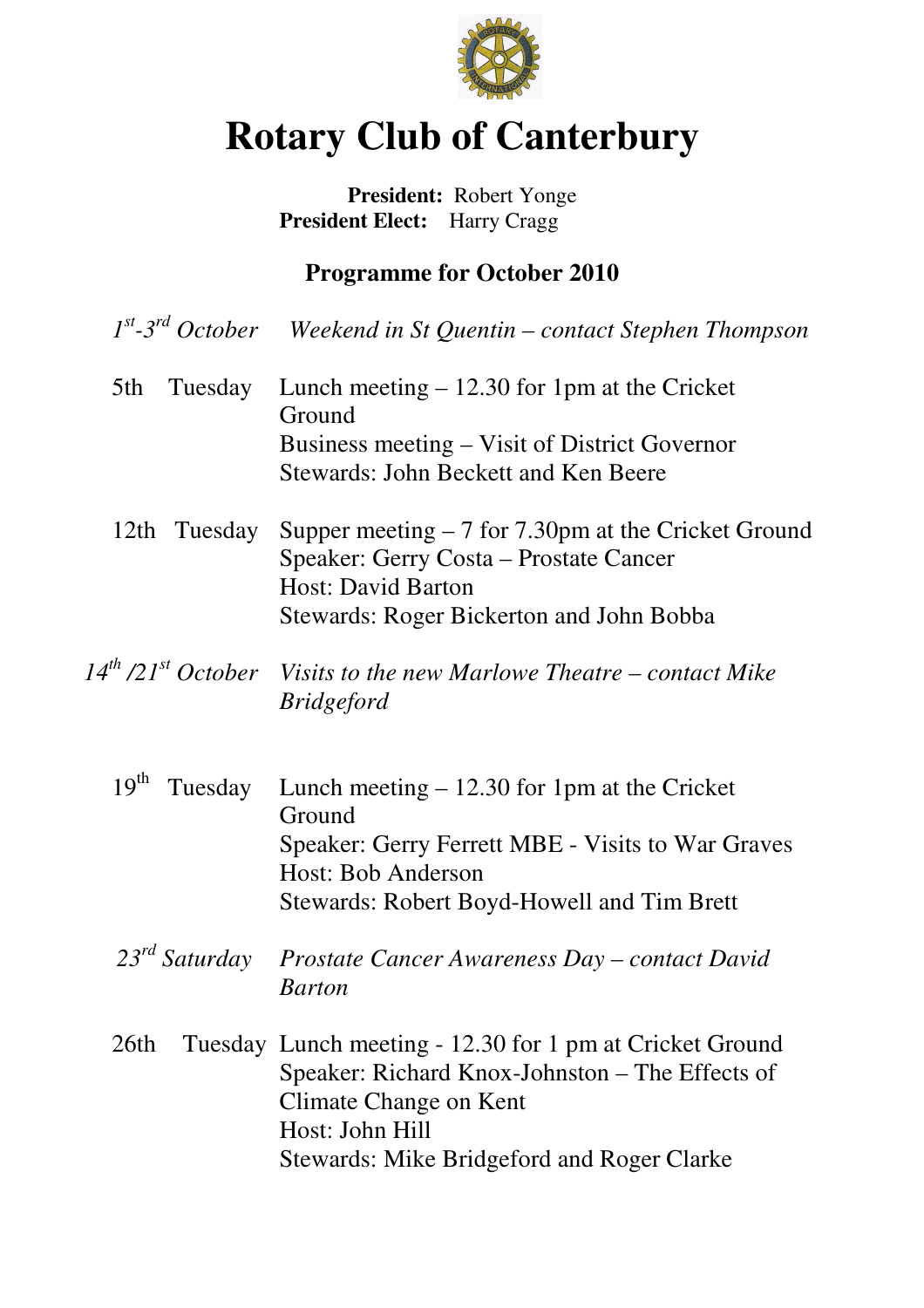

# **Rotary Club of Canterbury**

### **President:** Robert Yonge  **President Elect:** Harry Cragg

## **Programme for October 2010**

| $1st$ -3 <sup>rd</sup> October | Weekend in St Quentin – contact Stephen Thompson                                                                                                                                                       |
|--------------------------------|--------------------------------------------------------------------------------------------------------------------------------------------------------------------------------------------------------|
| 5th<br>Tuesday                 | Lunch meeting $-12.30$ for 1pm at the Cricket<br>Ground<br>Business meeting – Visit of District Governor<br><b>Stewards: John Beckett and Ken Beere</b>                                                |
| Tuesday<br>12th                | Supper meeting $-7$ for 7.30pm at the Cricket Ground<br>Speaker: Gerry Costa - Prostate Cancer<br><b>Host: David Barton</b><br>Stewards: Roger Bickerton and John Bobba                                |
| $14^{th}$ /21 $^{st}$ October  | Visits to the new Marlowe Theatre – contact Mike<br><b>Bridgeford</b>                                                                                                                                  |
| 19 <sup>th</sup><br>Tuesday    | Lunch meeting $-12.30$ for 1pm at the Cricket<br>Ground<br>Speaker: Gerry Ferrett MBE - Visits to War Graves<br>Host: Bob Anderson<br>Stewards: Robert Boyd-Howell and Tim Brett                       |
|                                | 23 <sup>rd</sup> Saturday Prostate Cancer Awareness Day – contact David<br><b>Barton</b>                                                                                                               |
| 26th                           | Tuesday Lunch meeting - 12.30 for 1 pm at Cricket Ground<br>Speaker: Richard Knox-Johnston – The Effects of<br>Climate Change on Kent<br>Host: John Hill<br>Stewards: Mike Bridgeford and Roger Clarke |